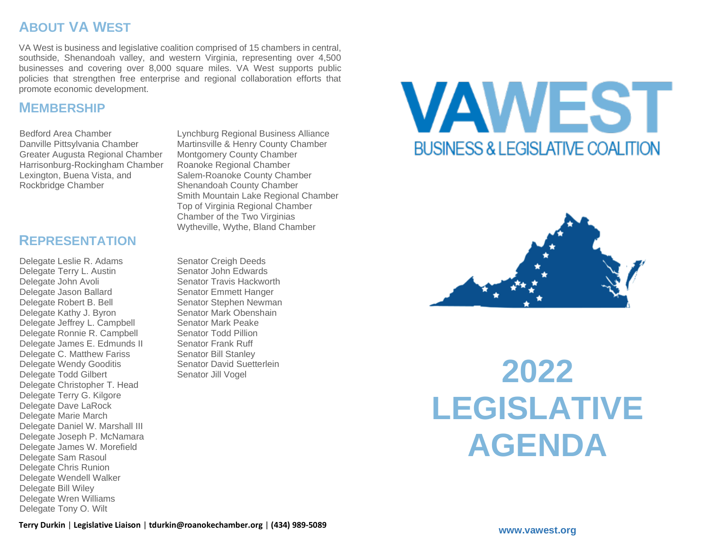# **ABOUT VA WEST**

VA West is business and legislative coalition comprised of 15 chambers in central, southside, Shenandoah valley, and western Virginia, representing over 4,500 businesses and covering over 8,000 square miles. VA West supports public policies that strengthen free enterprise and regional collaboration efforts that promote economic development.

#### **MEMBERSHIP**

Bedford Area Chamber Danville Pittsylvania Chamber Greater Augusta Regional Chamber Harrisonburg-Rockingham Chamber Lexington, Buena Vista, and Rockbridge Chamber

Lynchburg Regional Business Alliance Martinsville & Henry County Chamber Montgomery County Chamber Roanoke Regional Chamber Salem-Roanoke County Chamber Shenandoah County Chamber Smith Mountain Lake Regional Chamber Top of Virginia Regional Chamber Chamber of the Two Virginias Wytheville, Wythe, Bland Chamber

#### **REPRESENTATION**

Delegate Leslie R. Adams Delegate Terry L. Austin Delegate John Avoli Delegate Jason Ballard Delegate Robert B. Bell Delegate Kathy J. Byron Delegate Jeffrey L. Campbell Delegate Ronnie R. Campbell Delegate James E. Edmunds II Delegate C. Matthew Fariss Delegate Wendy Gooditis Delegate Todd Gilbert Delegate Christopher T. Head Delegate Terry G. Kilgore Delegate Dave LaRock Delegate Marie March Delegate Daniel W. Marshall III Delegate Joseph P. McNamara Delegate James W. Morefield Delegate Sam Rasoul Delegate Chris Runion Delegate Wendell Walker Delegate Bill Wiley Delegate Wren Williams Delegate Tony O. Wilt

Senator Creigh Deeds Senator John Edwards Senator Travis Hackworth Senator Emmett Hanger Senator Stephen Newman Senator Mark Obenshain Senator Mark Peake Senator Todd Pillion Senator Frank Ruff Senator Bill Stanley Senator David Suetterlein Senator Jill Vogel

# **VAWEST** BUSINESS & LEGISLATIVE COALITION



**2022 LEGISLATIVE AGENDA**